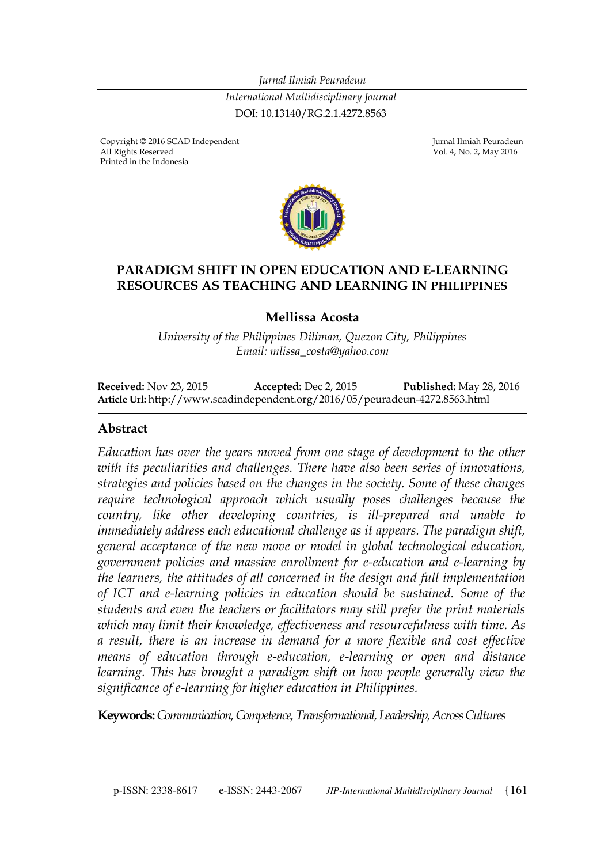*Jurnal Ilmiah Peuradeun International Multidisciplinary Journal*  DOI: 10.13140/RG.2.1.4272.8563

Copyright © 2016 SCAD Independent Georgia Company and Turnal Ilmiah Peuradeun All Rights Reserved Georgia Company and Turnal Ilmiah Peuradeun All Rights Reserved Printed in the Indonesia

Vol. 4, No. 2, May 2016



#### **PARADIGM SHIFT IN OPEN EDUCATION AND E-LEARNING RESOURCES AS TEACHING AND LEARNING IN PHILIPPINES**

#### **Mellissa Acosta**

*University of the Philippines Diliman, Quezon City, Philippines Email: mlissa\_costa@yahoo.com*

**Received:** Nov 23, 2015 **Accepted:** Dec 2, 2015 **Published:** May 28, 2016 **Article Url:** http://www.scadindependent.org/2016/05/peuradeun-4272.8563.html

#### **Abstract**

*Education has over the years moved from one stage of development to the other with its peculiarities and challenges. There have also been series of innovations, strategies and policies based on the changes in the society. Some of these changes require technological approach which usually poses challenges because the country, like other developing countries, is ill-prepared and unable to immediately address each educational challenge as it appears. The paradigm shift, general acceptance of the new move or model in global technological education, government policies and massive enrollment for e-education and e-learning by the learners, the attitudes of all concerned in the design and full implementation of ICT and e-learning policies in education should be sustained. Some of the students and even the teachers or facilitators may still prefer the print materials which may limit their knowledge, effectiveness and resourcefulness with time. As a result, there is an increase in demand for a more flexible and cost effective means of education through e-education, e-learning or open and distance learning. This has brought a paradigm shift on how people generally view the significance of e-learning for higher education in Philippines.* 

**Keywords:** *Communication, Competence, Transformational, Leadership, Across Cultures*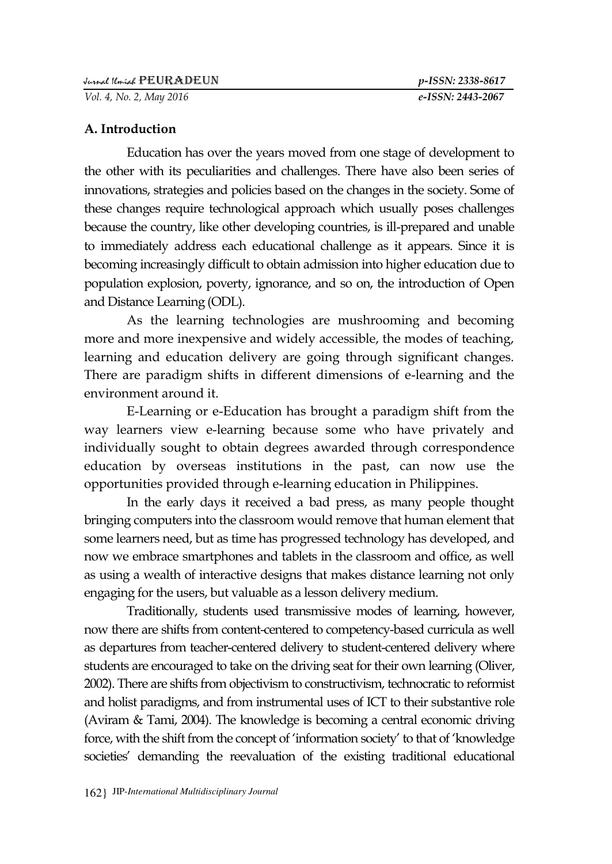*Vol. 4, No. 2, May 2016 e-ISSN: 2443-2067*

#### **A. Introduction**

Education has over the years moved from one stage of development to the other with its peculiarities and challenges. There have also been series of innovations, strategies and policies based on the changes in the society. Some of these changes require technological approach which usually poses challenges because the country, like other developing countries, is ill-prepared and unable to immediately address each educational challenge as it appears. Since it is becoming increasingly difficult to obtain admission into higher education due to population explosion, poverty, ignorance, and so on, the introduction of Open and Distance Learning (ODL).

As the learning technologies are mushrooming and becoming more and more inexpensive and widely accessible, the modes of teaching, learning and education delivery are going through significant changes. There are paradigm shifts in different dimensions of e-learning and the environment around it.

E-Learning or e-Education has brought a paradigm shift from the way learners view e-learning because some who have privately and individually sought to obtain degrees awarded through correspondence education by overseas institutions in the past, can now use the opportunities provided through e-learning education in Philippines.

In the early days it received a bad press, as many people thought bringing computers into the classroom would remove that human element that some learners need, but as time has progressed technology has developed, and now we embrace smartphones and tablets in the classroom and office, as well as using a wealth of interactive designs that makes distance learning not only engaging for the users, but valuable as a lesson delivery medium.

Traditionally, students used transmissive modes of learning, however, now there are shifts from content-centered to competency-based curricula as well as departures from teacher-centered delivery to student-centered delivery where students are encouraged to take on the driving seat for their own learning (Oliver, 2002). There are shifts from objectivism to constructivism, technocratic to reformist and holist paradigms, and from instrumental uses of ICT to their substantive role (Aviram & Tami, 2004). The knowledge is becoming a central economic driving force, with the shift from the concept of "information society" to that of "knowledge societies' demanding the reevaluation of the existing traditional educational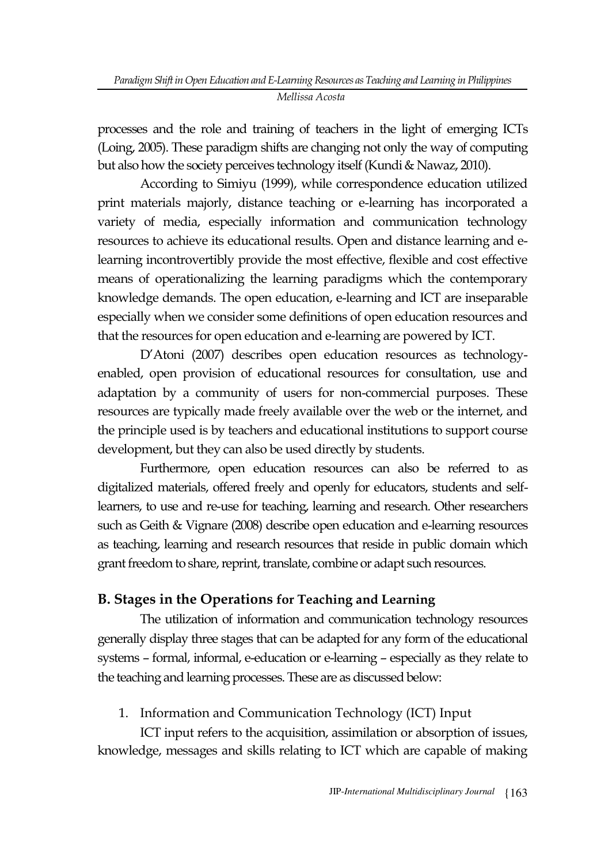processes and the role and training of teachers in the light of emerging ICTs (Loing, 2005). These paradigm shifts are changing not only the way of computing but also how the society perceives technology itself (Kundi & Nawaz, 2010).

According to Simiyu (1999), while correspondence education utilized print materials majorly, distance teaching or e-learning has incorporated a variety of media, especially information and communication technology resources to achieve its educational results. Open and distance learning and elearning incontrovertibly provide the most effective, flexible and cost effective means of operationalizing the learning paradigms which the contemporary knowledge demands. The open education, e-learning and ICT are inseparable especially when we consider some definitions of open education resources and that the resources for open education and e-learning are powered by ICT.

D"Atoni (2007) describes open education resources as technologyenabled, open provision of educational resources for consultation, use and adaptation by a community of users for non-commercial purposes. These resources are typically made freely available over the web or the internet, and the principle used is by teachers and educational institutions to support course development, but they can also be used directly by students.

Furthermore, open education resources can also be referred to as digitalized materials, offered freely and openly for educators, students and selflearners, to use and re-use for teaching, learning and research. Other researchers such as Geith & Vignare (2008) describe open education and e-learning resources as teaching, learning and research resources that reside in public domain which grant freedom to share, reprint, translate, combine or adapt such resources.

## **B. Stages in the Operations for Teaching and Learning**

The utilization of information and communication technology resources generally display three stages that can be adapted for any form of the educational systems – formal, informal, e-education or e-learning – especially as they relate to the teaching and learning processes. These are as discussed below:

1. Information and Communication Technology (ICT) Input

ICT input refers to the acquisition, assimilation or absorption of issues, knowledge, messages and skills relating to ICT which are capable of making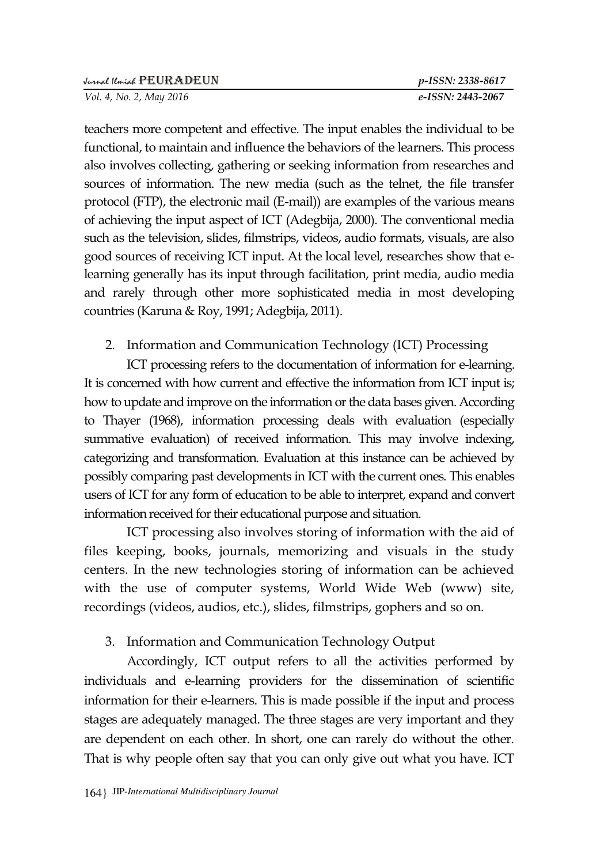teachers more competent and effective. The input enables the individual to be functional, to maintain and influence the behaviors of the learners. This process also involves collecting, gathering or seeking information from researches and sources of information. The new media (such as the telnet, the file transfer protocol (FTP), the electronic mail (E-mail)) are examples of the various means of achieving the input aspect of ICT (Adegbija, 2000). The conventional media such as the television, slides, filmstrips, videos, audio formats, visuals, are also good sources of receiving ICT input. At the local level, researches show that elearning generally has its input through facilitation, print media, audio media and rarely through other more sophisticated media in most developing countries (Karuna & Roy, 1991; Adegbija, 2011).

## 2. Information and Communication Technology (ICT) Processing

ICT processing refers to the documentation of information for e-learning. It is concerned with how current and effective the information from ICT input is; how to update and improve on the information or the data bases given. According to Thayer (1968), information processing deals with evaluation (especially summative evaluation) of received information. This may involve indexing, categorizing and transformation. Evaluation at this instance can be achieved by possibly comparing past developments in ICT with the current ones. This enables users of ICT for any form of education to be able to interpret, expand and convert information received for their educational purpose and situation.

ICT processing also involves storing of information with the aid of files keeping, books, journals, memorizing and visuals in the study centers. In the new technologies storing of information can be achieved with the use of computer systems, World Wide Web (www) site, recordings (videos, audios, etc.), slides, filmstrips, gophers and so on.

## 3. Information and Communication Technology Output

Accordingly, ICT output refers to all the activities performed by individuals and e-learning providers for the dissemination of scientific information for their e-learners. This is made possible if the input and process stages are adequately managed. The three stages are very important and they are dependent on each other. In short, one can rarely do without the other. That is why people often say that you can only give out what you have. ICT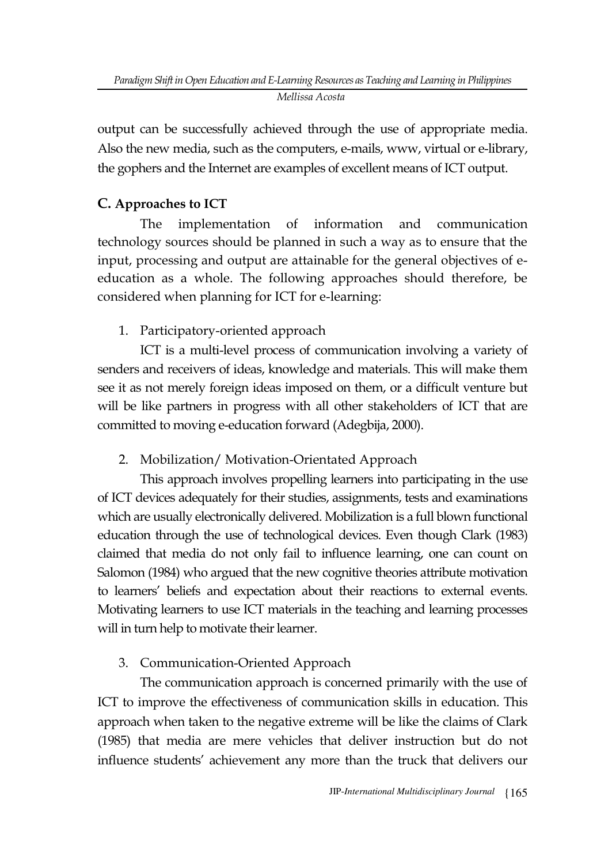output can be successfully achieved through the use of appropriate media. Also the new media, such as the computers, e-mails, www, virtual or e-library, the gophers and the Internet are examples of excellent means of ICT output.

## **C. Approaches to ICT**

The implementation of information and communication technology sources should be planned in such a way as to ensure that the input, processing and output are attainable for the general objectives of eeducation as a whole. The following approaches should therefore, be considered when planning for ICT for e-learning:

1. Participatory-oriented approach

ICT is a multi-level process of communication involving a variety of senders and receivers of ideas, knowledge and materials. This will make them see it as not merely foreign ideas imposed on them, or a difficult venture but will be like partners in progress with all other stakeholders of ICT that are committed to moving e-education forward (Adegbija, 2000).

# 2. Mobilization/ Motivation-Orientated Approach

This approach involves propelling learners into participating in the use of ICT devices adequately for their studies, assignments, tests and examinations which are usually electronically delivered. Mobilization is a full blown functional education through the use of technological devices. Even though Clark (1983) claimed that media do not only fail to influence learning, one can count on Salomon (1984) who argued that the new cognitive theories attribute motivation to learners" beliefs and expectation about their reactions to external events. Motivating learners to use ICT materials in the teaching and learning processes will in turn help to motivate their learner.

# 3. Communication-Oriented Approach

The communication approach is concerned primarily with the use of ICT to improve the effectiveness of communication skills in education. This approach when taken to the negative extreme will be like the claims of Clark (1985) that media are mere vehicles that deliver instruction but do not influence students" achievement any more than the truck that delivers our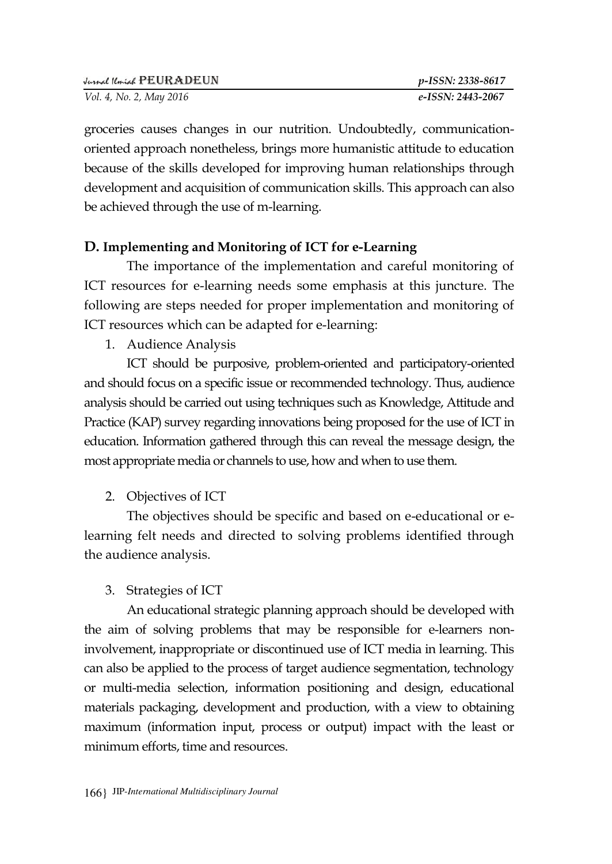groceries causes changes in our nutrition. Undoubtedly, communicationoriented approach nonetheless, brings more humanistic attitude to education because of the skills developed for improving human relationships through development and acquisition of communication skills. This approach can also be achieved through the use of m-learning.

### **D. Implementing and Monitoring of ICT for e-Learning**

The importance of the implementation and careful monitoring of ICT resources for e-learning needs some emphasis at this juncture. The following are steps needed for proper implementation and monitoring of ICT resources which can be adapted for e-learning:

1. Audience Analysis

ICT should be purposive, problem-oriented and participatory-oriented and should focus on a specific issue or recommended technology. Thus, audience analysis should be carried out using techniques such as Knowledge, Attitude and Practice (KAP) survey regarding innovations being proposed for the use of ICT in education. Information gathered through this can reveal the message design, the most appropriate media or channels to use, how and when to use them.

2. Objectives of ICT

The objectives should be specific and based on e-educational or elearning felt needs and directed to solving problems identified through the audience analysis.

#### 3. Strategies of ICT

An educational strategic planning approach should be developed with the aim of solving problems that may be responsible for e-learners noninvolvement, inappropriate or discontinued use of ICT media in learning. This can also be applied to the process of target audience segmentation, technology or multi-media selection, information positioning and design, educational materials packaging, development and production, with a view to obtaining maximum (information input, process or output) impact with the least or minimum efforts, time and resources.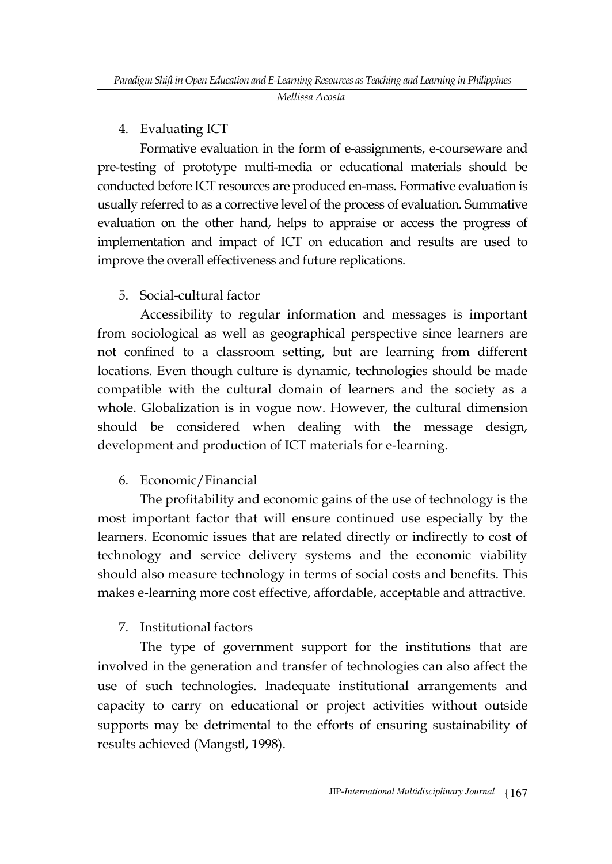### 4. Evaluating ICT

Formative evaluation in the form of e-assignments, e-courseware and pre-testing of prototype multi-media or educational materials should be conducted before ICT resources are produced en-mass. Formative evaluation is usually referred to as a corrective level of the process of evaluation. Summative evaluation on the other hand, helps to appraise or access the progress of implementation and impact of ICT on education and results are used to improve the overall effectiveness and future replications.

### 5. Social-cultural factor

Accessibility to regular information and messages is important from sociological as well as geographical perspective since learners are not confined to a classroom setting, but are learning from different locations. Even though culture is dynamic, technologies should be made compatible with the cultural domain of learners and the society as a whole. Globalization is in vogue now. However, the cultural dimension should be considered when dealing with the message design, development and production of ICT materials for e-learning.

## 6. Economic/Financial

The profitability and economic gains of the use of technology is the most important factor that will ensure continued use especially by the learners. Economic issues that are related directly or indirectly to cost of technology and service delivery systems and the economic viability should also measure technology in terms of social costs and benefits. This makes e-learning more cost effective, affordable, acceptable and attractive.

#### 7. Institutional factors

The type of government support for the institutions that are involved in the generation and transfer of technologies can also affect the use of such technologies. Inadequate institutional arrangements and capacity to carry on educational or project activities without outside supports may be detrimental to the efforts of ensuring sustainability of results achieved (Mangstl, 1998).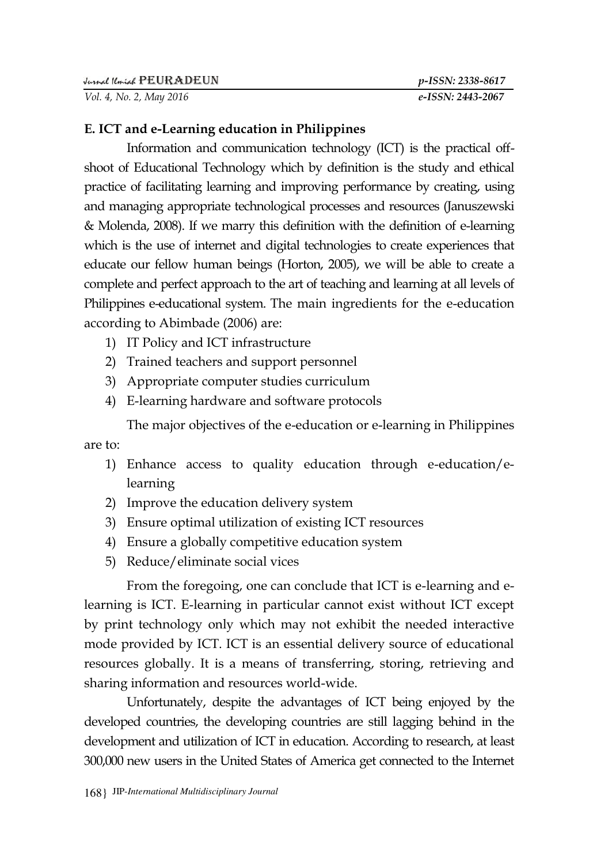#### **E. ICT and e-Learning education in Philippines**

Information and communication technology (ICT) is the practical offshoot of Educational Technology which by definition is the study and ethical practice of facilitating learning and improving performance by creating, using and managing appropriate technological processes and resources (Januszewski & Molenda, 2008). If we marry this definition with the definition of e-learning which is the use of internet and digital technologies to create experiences that educate our fellow human beings (Horton, 2005), we will be able to create a complete and perfect approach to the art of teaching and learning at all levels of Philippines e-educational system. The main ingredients for the e-education according to Abimbade (2006) are:

- 1) IT Policy and ICT infrastructure
- 2) Trained teachers and support personnel
- 3) Appropriate computer studies curriculum
- 4) E-learning hardware and software protocols

The major objectives of the e-education or e-learning in Philippines are to:

- 1) Enhance access to quality education through e-education/elearning
- 2) Improve the education delivery system
- 3) Ensure optimal utilization of existing ICT resources
- 4) Ensure a globally competitive education system
- 5) Reduce/eliminate social vices

From the foregoing, one can conclude that ICT is e-learning and elearning is ICT. E-learning in particular cannot exist without ICT except by print technology only which may not exhibit the needed interactive mode provided by ICT. ICT is an essential delivery source of educational resources globally. It is a means of transferring, storing, retrieving and sharing information and resources world-wide.

Unfortunately, despite the advantages of ICT being enjoyed by the developed countries, the developing countries are still lagging behind in the development and utilization of ICT in education. According to research, at least 300,000 new users in the United States of America get connected to the Internet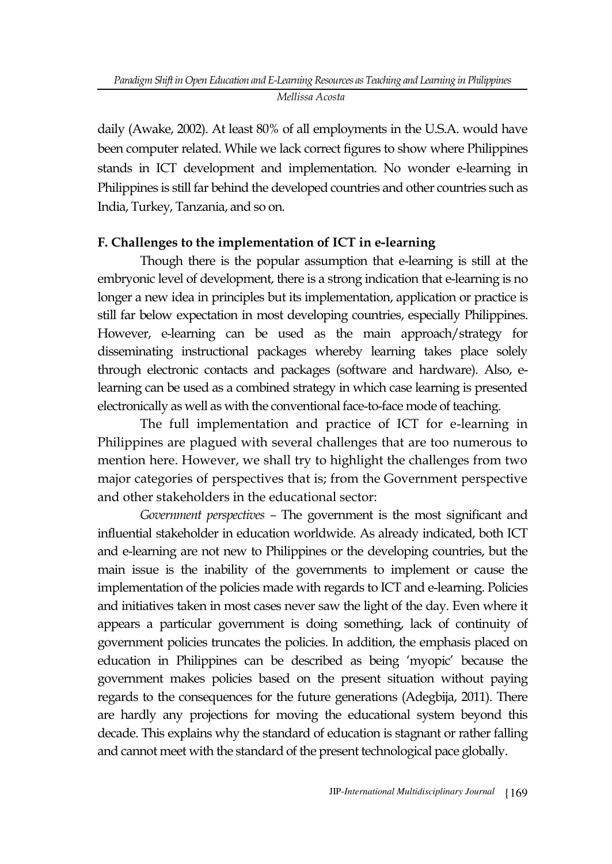daily (Awake, 2002). At least 80% of all employments in the U.S.A. would have been computer related. While we lack correct figures to show where Philippines stands in ICT development and implementation. No wonder e-learning in Philippines is still far behind the developed countries and other countries such as India, Turkey, Tanzania, and so on.

#### **F. Challenges to the implementation of ICT in e-learning**

Though there is the popular assumption that e-learning is still at the embryonic level of development, there is a strong indication that e-learning is no longer a new idea in principles but its implementation, application or practice is still far below expectation in most developing countries, especially Philippines. However, e-learning can be used as the main approach/strategy for disseminating instructional packages whereby learning takes place solely through electronic contacts and packages (software and hardware). Also, elearning can be used as a combined strategy in which case learning is presented electronically as well as with the conventional face-to-face mode of teaching.

The full implementation and practice of ICT for e-learning in Philippines are plagued with several challenges that are too numerous to mention here. However, we shall try to highlight the challenges from two major categories of perspectives that is; from the Government perspective and other stakeholders in the educational sector:

*Government perspectives –* The government is the most significant and influential stakeholder in education worldwide. As already indicated, both ICT and e-learning are not new to Philippines or the developing countries, but the main issue is the inability of the governments to implement or cause the implementation of the policies made with regards to ICT and e-learning. Policies and initiatives taken in most cases never saw the light of the day. Even where it appears a particular government is doing something, lack of continuity of government policies truncates the policies. In addition, the emphasis placed on education in Philippines can be described as being "myopic" because the government makes policies based on the present situation without paying regards to the consequences for the future generations (Adegbija, 2011). There are hardly any projections for moving the educational system beyond this decade. This explains why the standard of education is stagnant or rather falling and cannot meet with the standard of the present technological pace globally.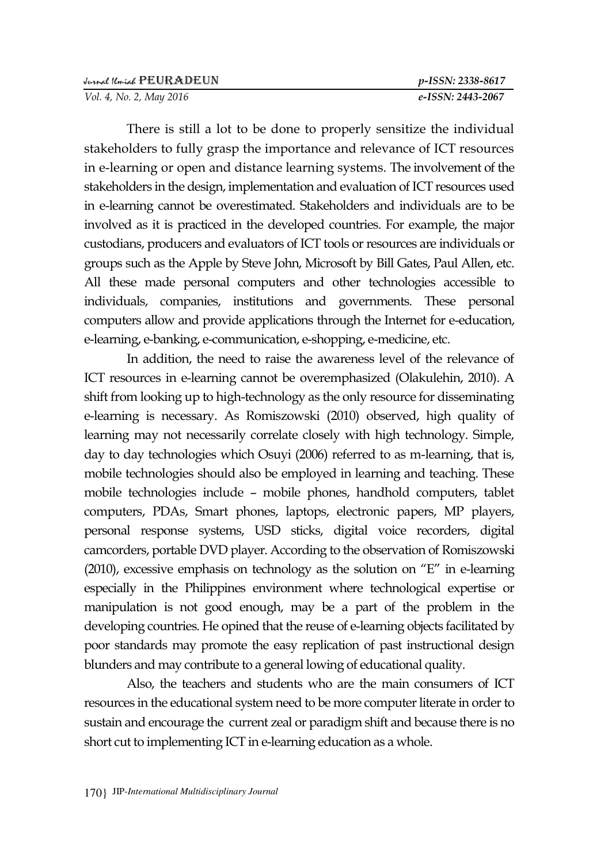*Vol. 4, No. 2, May 2016 e-ISSN: 2443-2067*

There is still a lot to be done to properly sensitize the individual stakeholders to fully grasp the importance and relevance of ICT resources in e-learning or open and distance learning systems. The involvement of the stakeholders in the design, implementation and evaluation of ICT resources used in e-learning cannot be overestimated. Stakeholders and individuals are to be involved as it is practiced in the developed countries. For example, the major custodians, producers and evaluators of ICT tools or resources are individuals or groups such as the Apple by Steve John, Microsoft by Bill Gates, Paul Allen, etc. All these made personal computers and other technologies accessible to individuals, companies, institutions and governments. These personal computers allow and provide applications through the Internet for e-education, e-learning, e-banking, e-communication, e-shopping, e-medicine, etc.

In addition, the need to raise the awareness level of the relevance of ICT resources in e-learning cannot be overemphasized (Olakulehin, 2010). A shift from looking up to high-technology as the only resource for disseminating e-learning is necessary. As Romiszowski (2010) observed, high quality of learning may not necessarily correlate closely with high technology. Simple, day to day technologies which Osuyi (2006) referred to as m-learning, that is, mobile technologies should also be employed in learning and teaching. These mobile technologies include – mobile phones, handhold computers, tablet computers, PDAs, Smart phones, laptops, electronic papers, MP players, personal response systems, USD sticks, digital voice recorders, digital camcorders, portable DVD player. According to the observation of Romiszowski (2010), excessive emphasis on technology as the solution on "E" in e-learning especially in the Philippines environment where technological expertise or manipulation is not good enough, may be a part of the problem in the developing countries. He opined that the reuse of e-learning objects facilitated by poor standards may promote the easy replication of past instructional design blunders and may contribute to a general lowing of educational quality.

Also, the teachers and students who are the main consumers of ICT resources in the educational system need to be more computer literate in order to sustain and encourage the current zeal or paradigm shift and because there is no short cut to implementing ICT in e-learning education as a whole.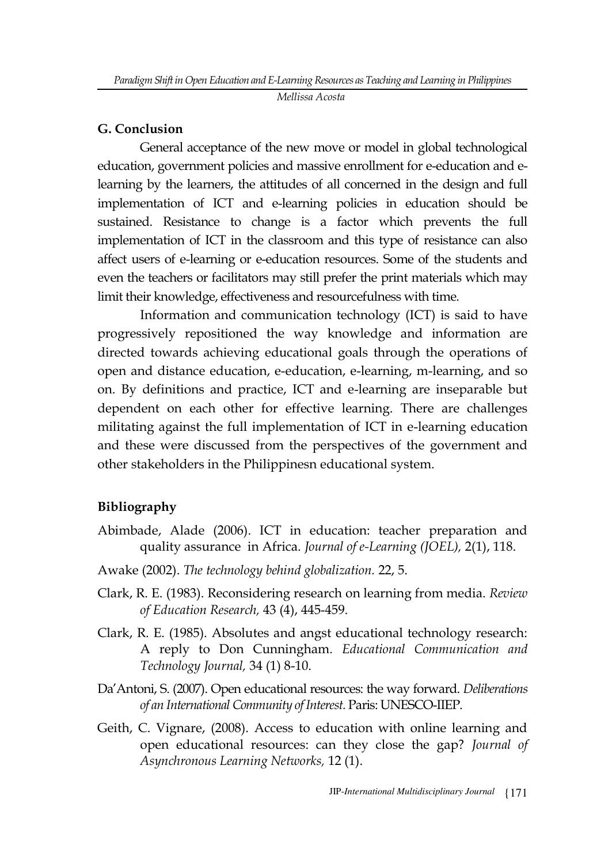*Mellissa Acosta* 

#### **G. Conclusion**

General acceptance of the new move or model in global technological education, government policies and massive enrollment for e-education and elearning by the learners, the attitudes of all concerned in the design and full implementation of ICT and e-learning policies in education should be sustained. Resistance to change is a factor which prevents the full implementation of ICT in the classroom and this type of resistance can also affect users of e-learning or e-education resources. Some of the students and even the teachers or facilitators may still prefer the print materials which may limit their knowledge, effectiveness and resourcefulness with time.

Information and communication technology (ICT) is said to have progressively repositioned the way knowledge and information are directed towards achieving educational goals through the operations of open and distance education, e-education, e-learning, m-learning, and so on. By definitions and practice, ICT and e-learning are inseparable but dependent on each other for effective learning. There are challenges militating against the full implementation of ICT in e-learning education and these were discussed from the perspectives of the government and other stakeholders in the Philippinesn educational system.

## **Bibliography**

- Abimbade, Alade (2006). ICT in education: teacher preparation and quality assurance in Africa. *Journal of e-Learning (JOEL),* 2(1), 118.
- Awake (2002). *The technology behind globalization.* 22, 5.
- Clark, R. E. (1983). Reconsidering research on learning from media. *Review of Education Research,* 43 (4), 445-459.
- Clark, R. E. (1985). Absolutes and angst educational technology research: A reply to Don Cunningham*. Educational Communication and Technology Journal,* 34 (1) 8-10.
- Da"Antoni, S. (2007). Open educational resources: the way forward. *Deliberations of an International Community of Interest.* Paris: UNESCO-IIEP.
- Geith, C. Vignare, (2008). Access to education with online learning and open educational resources: can they close the gap? *Journal of Asynchronous Learning Networks,* 12 (1).